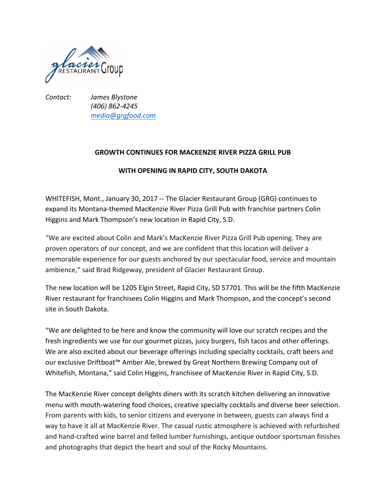

*Contact: James Blystone (406) 862-4245 media@grgfood.com*

## **GROWTH CONTINUES FOR MACKENZIE RIVER PIZZA GRILL PUB**

## **WITH OPENING IN RAPID CITY, SOUTH DAKOTA**

WHITEFISH, Mont., January 30, 2017 -- The Glacier Restaurant Group (GRG) continues to expand its Montana-themed MacKenzie River Pizza Grill Pub with franchise partners Colin Higgins and Mark Thompson's new location in Rapid City, S.D.

"We are excited about Colin and Mark's MacKenzie River Pizza Grill Pub opening. They are proven operators of our concept, and we are confident that this location will deliver a memorable experience for our guests anchored by our spectacular food, service and mountain ambience," said Brad Ridgeway, president of Glacier Restaurant Group.

The new location will be 1205 Elgin Street, Rapid City, SD 57701. This will be the fifth MacKenzie River restaurant for franchisees Colin Higgins and Mark Thompson, and the concept's second site in South Dakota.

"We are delighted to be here and know the community will love our scratch recipes and the fresh ingredients we use for our gourmet pizzas, juicy burgers, fish tacos and other offerings. We are also excited about our beverage offerings including specialty cocktails, craft beers and our exclusive Driftboat™ Amber Ale, brewed by Great Northern Brewing Company out of Whitefish, Montana," said Colin Higgins, franchisee of MacKenzie River in Rapid City, S.D.

The MacKenzie River concept delights diners with its scratch kitchen delivering an innovative menu with mouth-watering food choices, creative specialty cocktails and diverse beer selection. From parents with kids, to senior citizens and everyone in between, guests can always find a way to have it all at MacKenzie River. The casual rustic atmosphere is achieved with refurbished and hand-crafted wine barrel and felled lumber furnishings, antique outdoor sportsman finishes and photographs that depict the heart and soul of the Rocky Mountains.